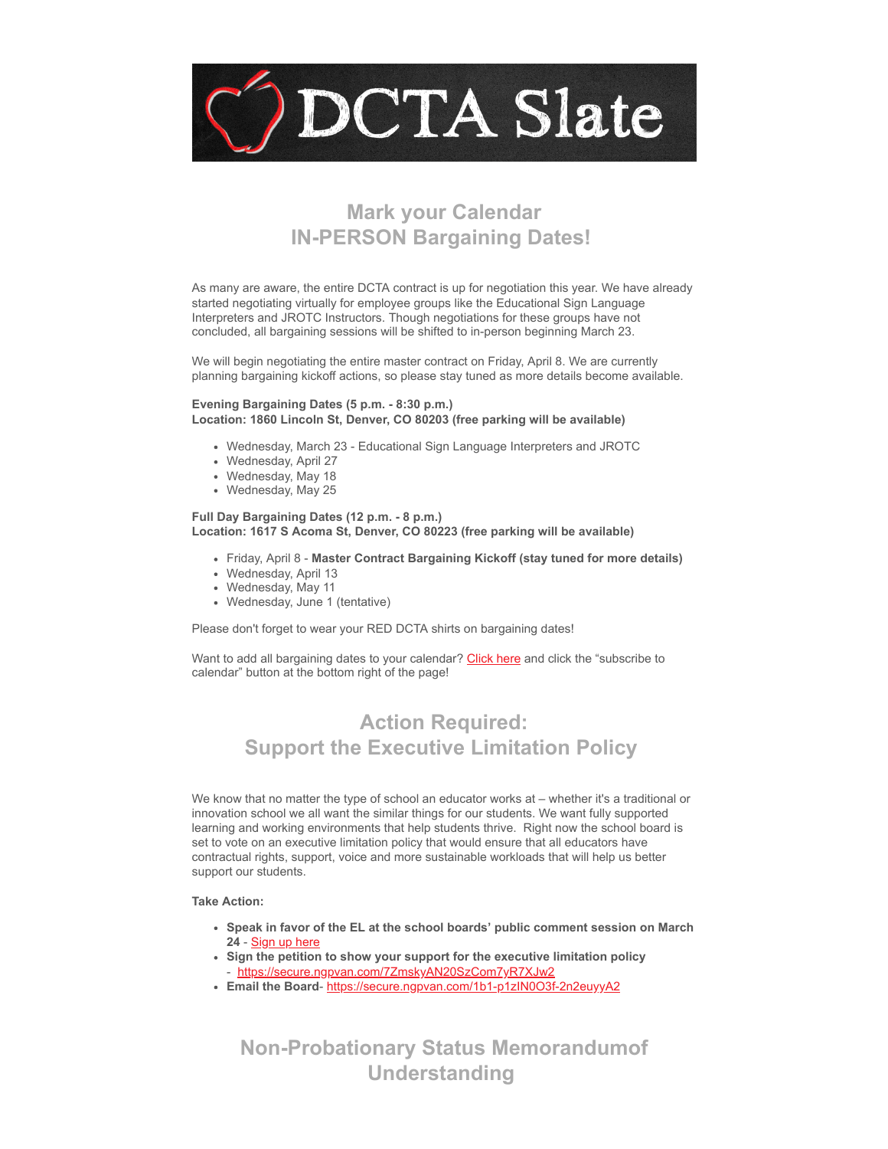

# **Mark your Calendar IN-PERSON Bargaining Dates!**

As many are aware, the entire DCTA contract is up for negotiation this year. We have already started negotiating virtually for employee groups like the Educational Sign Language Interpreters and JROTC Instructors. Though negotiations for these groups have not concluded, all bargaining sessions will be shifted to in-person beginning March 23.

We will begin negotiating the entire master contract on Friday, April 8. We are currently planning bargaining kickoff actions, so please stay tuned as more details become available.

#### **Evening Bargaining Dates (5 p.m. - 8:30 p.m.) Location: 1860 Lincoln St, Denver, CO 80203 (free parking will be available)**

- Wednesday, March 23 Educational Sign Language Interpreters and JROTC
- Wednesday, April 27
- Wednesday, May 18
- Wednesday, May 25

#### **Full Day Bargaining Dates (12 p.m. - 8 p.m.) Location: 1617 S Acoma St, Denver, CO 80223 (free parking will be available)**

- Friday, April 8 **Master Contract Bargaining Kickoff (stay tuned for more details)**
- Wednesday, April 13
- Wednesday, May 11
- Wednesday, June 1 (tentative)

Please don't forget to wear your RED DCTA shirts on bargaining dates!

Want to add all bargaining dates to your calendar? [Click here](https://denverteachers.org/events/?emci=8cd87188-0da6-ec11-a22a-281878b85110&emdi=ea000000-0000-0000-0000-000000000001&ceid={{ContactsEmailID}}) and click the "subscribe to calendar" button at the bottom right of the page!

# **Action Required: Support the Executive Limitation Policy**

We know that no matter the type of school an educator works at – whether it's a traditional or innovation school we all want the similar things for our students. We want fully supported learning and working environments that help students thrive. Right now the school board is set to vote on an executive limitation policy that would ensure that all educators have contractual rights, support, voice and more sustainable workloads that will help us better support our students.

### **Take Action:**

- **Speak in favor of the EL at the school boards' public comment session on March 24** - [Sign up here](https://forms.gle/5FADotpwN8oJhk5J9?emci=8cd87188-0da6-ec11-a22a-281878b85110&emdi=ea000000-0000-0000-0000-000000000001&ceid={{ContactsEmailID}})
- **Sign the petition to show your support for the executive limitation policy** - [https://secure.ngpvan.com/7ZmskyAN20SzCom7yR7XJw2](https://secure.ngpvan.com/7ZmskyAN20SzCom7yR7XJw2?emci=8cd87188-0da6-ec11-a22a-281878b85110&emdi=ea000000-0000-0000-0000-000000000001&ceid={{ContactsEmailID}})
- **Email the Board** [https://secure.ngpvan.com/1b1-p1zIN0O3f-2n2euyyA2](https://secure.ngpvan.com/1b1-p1zIN0O3f-2n2euyyA2?emci=8cd87188-0da6-ec11-a22a-281878b85110&emdi=ea000000-0000-0000-0000-000000000001&ceid={{ContactsEmailID}})

**Non-Probationary Status Memorandumof Understanding**